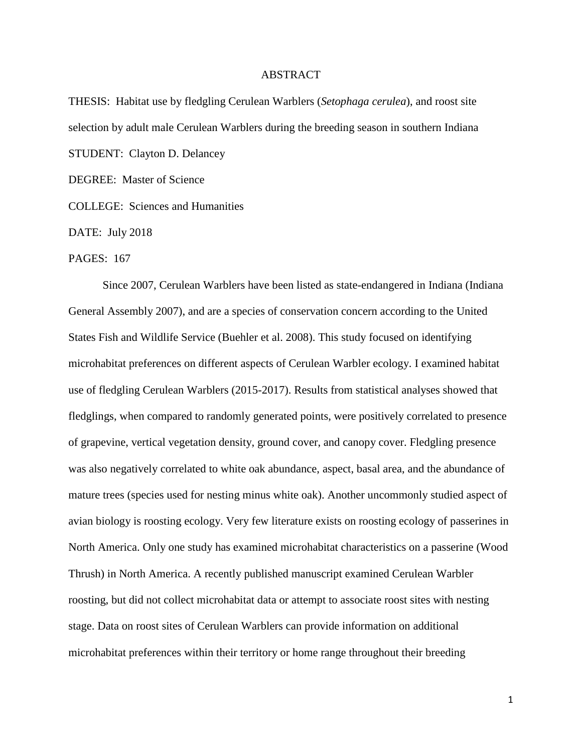## ABSTRACT

THESIS: Habitat use by fledgling Cerulean Warblers (*Setophaga cerulea*), and roost site selection by adult male Cerulean Warblers during the breeding season in southern Indiana STUDENT: Clayton D. Delancey

DEGREE: Master of Science

COLLEGE: Sciences and Humanities

DATE: July 2018

PAGES: 167

Since 2007, Cerulean Warblers have been listed as state-endangered in Indiana (Indiana General Assembly 2007), and are a species of conservation concern according to the United States Fish and Wildlife Service (Buehler et al. 2008). This study focused on identifying microhabitat preferences on different aspects of Cerulean Warbler ecology. I examined habitat use of fledgling Cerulean Warblers (2015-2017). Results from statistical analyses showed that fledglings, when compared to randomly generated points, were positively correlated to presence of grapevine, vertical vegetation density, ground cover, and canopy cover. Fledgling presence was also negatively correlated to white oak abundance, aspect, basal area, and the abundance of mature trees (species used for nesting minus white oak). Another uncommonly studied aspect of avian biology is roosting ecology. Very few literature exists on roosting ecology of passerines in North America. Only one study has examined microhabitat characteristics on a passerine (Wood Thrush) in North America. A recently published manuscript examined Cerulean Warbler roosting, but did not collect microhabitat data or attempt to associate roost sites with nesting stage. Data on roost sites of Cerulean Warblers can provide information on additional microhabitat preferences within their territory or home range throughout their breeding